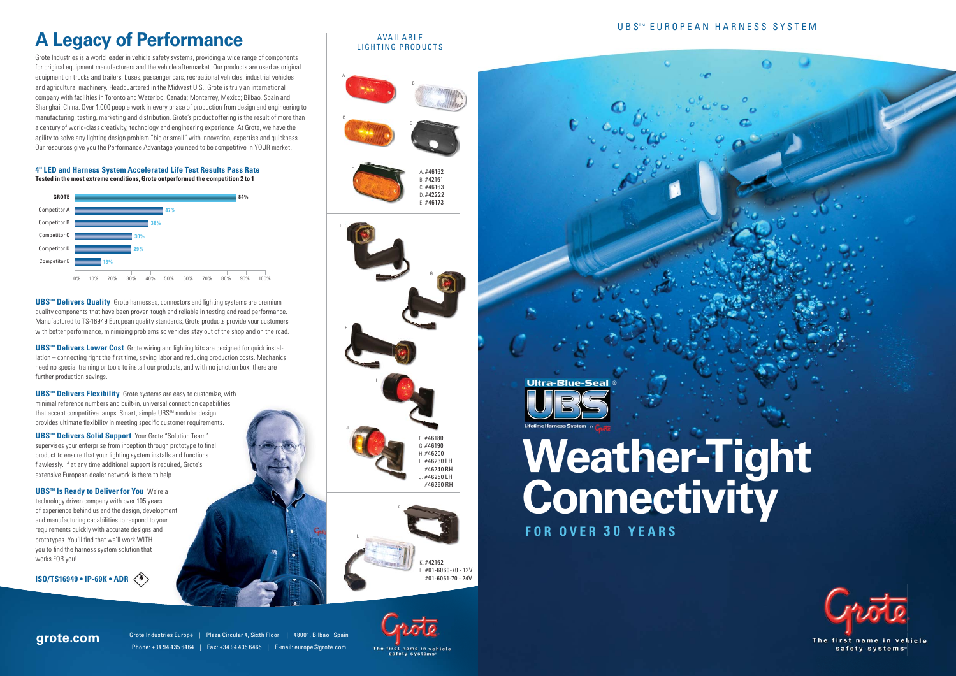Grote Industries Europe | Plaza Circular 4, Sixth Floor | 48001, Bilbao Spain Phone: +34 94 435 6464 | Fax: +34 94 435 6465 | E-mail: europe@grote.com



# **A Legacy of Performance**

#### **AVAILABLE** LIGHTING PRODUCTS

Grote Industries is a world leader in vehicle safety systems, providing a wide range of components for original equipment manufacturers and the vehicle aftermarket. Our products are used as original equipment on trucks and trailers, buses, passenger cars, recreational vehicles, industrial vehicles and agricultural machinery. Headquartered in the Midwest U.S., Grote is truly an international company with facilities in Toronto and Waterloo, Canada; Monterrey, Mexico; Bilbao, Spain and Shanghai, China. Over 1,000 people work in every phase of production from design and engineering to manufacturing, testing, marketing and distribution. Grote's product offering is the result of more than a century of world-class creativity, technology and engineering experience. At Grote, we have the agility to solve any lighting design problem "big or small" with innovation, expertise and quickness. Our resources give you the Performance Advantage you need to be competitive in YOUR market.

**UBS<sup>™</sup> Delivers Quality** Grote harnesses, connectors and lighting systems are premium quality components that have been proven tough and reliable in testing and road performance. Manufactured to TS-16949 European quality standards, Grote products provide your customers with better performance, minimizing problems so vehicles stay out of the shop and on the road.

**UBS<sup>™</sup> Delivers Lower Cost** Grote wiring and lighting kits are designed for quick installation – connecting right the first time, saving labor and reducing production costs. Mechanics need no special training or tools to install our products, and with no junction box, there are further production savings.

**UBS™ Delivers Flexibility** Grote systems are easy to customize, with minimal reference numbers and built-in, universal connection capabilities that accept competitive lamps. Smart, simple UBS™ modular design provides ultimate flexibility in meeting specific customer requirements.

**UBS<sup>™</sup> Delivers Solid Support** Your Grote "Solution Team" supervises your enterprise from inception through prototype to final product to ensure that your lighting system installs and functions flawlessly. If at any time additional support is required, Grote's extensive European dealer network is there to help.

**UBS™ Is Ready to Deliver for You** We're a technology driven company with over 105 years of experience behind us and the design, development and manufacturing capabilities to respond to your requirements quickly with accurate designs and prototypes. You'll find that we'll work WITH you to find the harness system solution that works FOR you!



## **grote.com**



A

C







F

E

H

**ISO/TS16949 • IP-69K • ADR**



#### **4" LED and Harness System Accelerated Life Test Results Pass Rate Tested in the most extreme conditions, Grote outperformed the competition 2 to 1**

# **Weather-Tight Connectivity**

 **FOR OVER 3 0 YEARS**